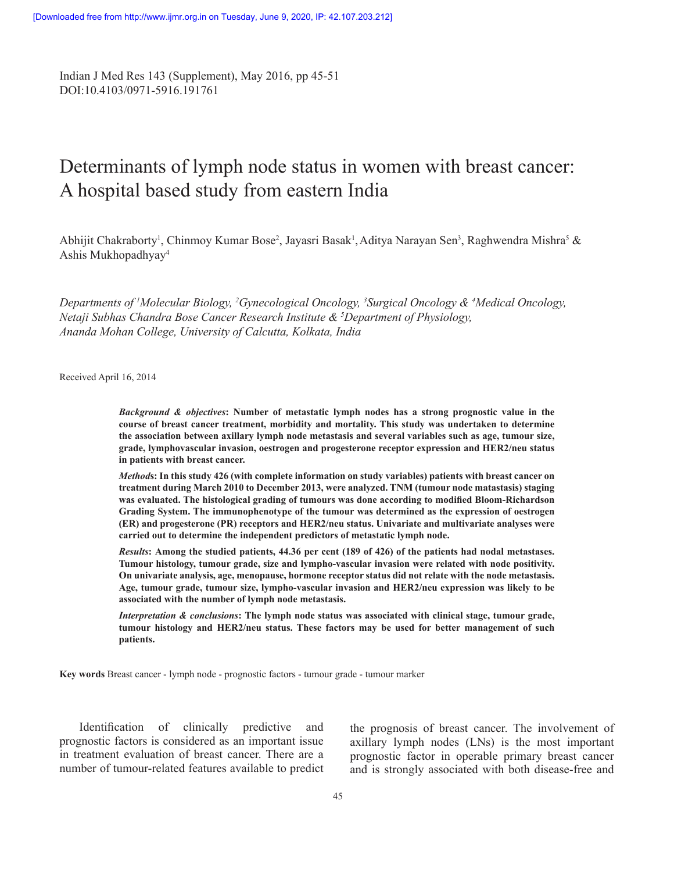Indian J Med Res 143 (Supplement), May 2016, pp 45-51 DOI:10.4103/0971-5916.191761

# Determinants of lymph node status in women with breast cancer: A hospital based study from eastern India

Abhijit Chakraborty<sup>1</sup>, Chinmoy Kumar Bose<sup>2</sup>, Jayasri Basak<sup>1</sup>, Aditya Narayan Sen<sup>3</sup>, Raghwendra Mishra<sup>5</sup> & Ashis Mukhopadhyay4

*Departments of 1 Molecular Biology, 2 Gynecological Oncology, 3 Surgical Oncology & 4 Medical Oncology, Netaji Subhas Chandra Bose Cancer Research Institute & 5 Department of Physiology, Ananda Mohan College, University of Calcutta, Kolkata, India*

Received April 16, 2014

*Background & objectives***: Number of metastatic lymph nodes has a strong prognostic value in the course of breast cancer treatment, morbidity and mortality. This study was undertaken to determine the association between axillary lymph node metastasis and several variables such as age, tumour size, grade, lymphovascular invasion, oestrogen and progesterone receptor expression and HER2/neu status in patients with breast cancer.**

*Method***s: In this study 426 (with complete information on study variables) patients with breast cancer on treatment during March 2010 to December 2013, were analyzed. TNM (tumour node matastasis) staging was evaluated. The histological grading of tumours was done according to modified Bloom-Richardson Grading System. The immunophenotype of the tumour was determined as the expression of oestrogen (ER) and progesterone (PR) receptors and HER2/neu status. Univariate and multivariate analyses were carried out to determine the independent predictors of metastatic lymph node.**

*Results***: Among the studied patients, 44.36 per cent (189 of 426) of the patients had nodal metastases. Tumour histology, tumour grade, size and lympho-vascular invasion were related with node positivity. On univariate analysis, age, menopause, hormone receptor status did not relate with the node metastasis. Age, tumour grade, tumour size, lympho-vascular invasion and HER2/neu expression was likely to be associated with the number of lymph node metastasis.**

*Interpretation & conclusions***: The lymph node status was associated with clinical stage, tumour grade, tumour histology and HER2/neu status. These factors may be used for better management of such patients.**

**Key words** Breast cancer - lymph node - prognostic factors - tumour grade - tumour marker

Identification of clinically predictive and prognostic factors is considered as an important issue in treatment evaluation of breast cancer. There are a number of tumour-related features available to predict

the prognosis of breast cancer. The involvement of axillary lymph nodes (LNs) is the most important prognostic factor in operable primary breast cancer and is strongly associated with both disease-free and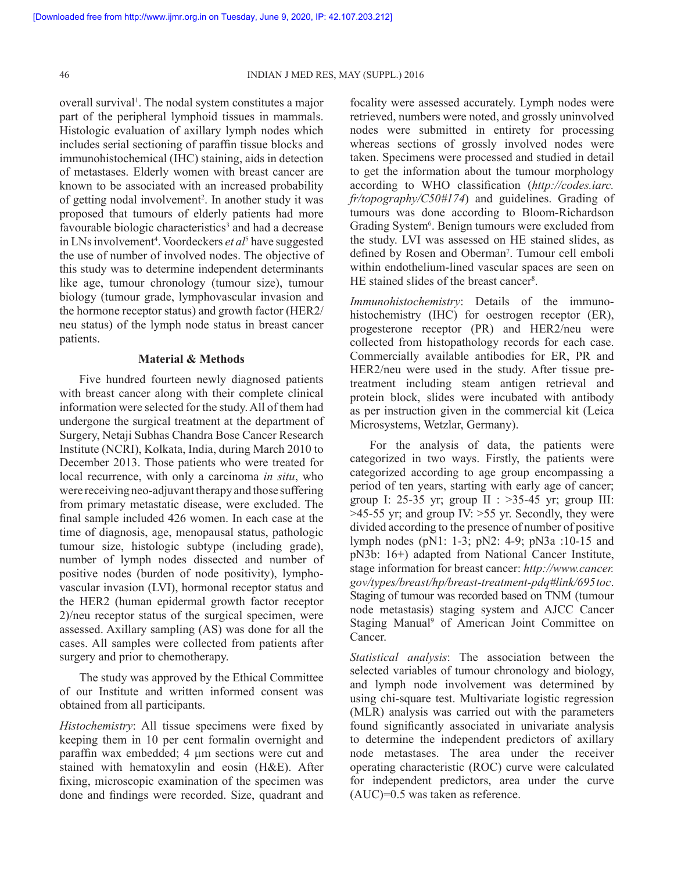overall survival<sup>1</sup>. The nodal system constitutes a major part of the peripheral lymphoid tissues in mammals. Histologic evaluation of axillary lymph nodes which includes serial sectioning of paraffin tissue blocks and immunohistochemical (IHC) staining, aids in detection of metastases. Elderly women with breast cancer are known to be associated with an increased probability of getting nodal involvement<sup>2</sup>. In another study it was proposed that tumours of elderly patients had more favourable biologic characteristics<sup>3</sup> and had a decrease in LNs involvement4 . Voordeckers *et al*<sup>5</sup> have suggested the use of number of involved nodes. The objective of this study was to determine independent determinants like age, tumour chronology (tumour size), tumour biology (tumour grade, lymphovascular invasion and the hormone receptor status) and growth factor (HER2/ neu status) of the lymph node status in breast cancer patients.

## **Material & Methods**

Five hundred fourteen newly diagnosed patients with breast cancer along with their complete clinical information were selected for the study. All of them had undergone the surgical treatment at the department of Surgery, Netaji Subhas Chandra Bose Cancer Research Institute (NCRI), Kolkata, India, during March 2010 to December 2013. Those patients who were treated for local recurrence, with only a carcinoma *in situ*, who were receiving neo-adjuvant therapy and those suffering from primary metastatic disease, were excluded. The final sample included 426 women. In each case at the time of diagnosis, age, menopausal status, pathologic tumour size, histologic subtype (including grade), number of lymph nodes dissected and number of positive nodes (burden of node positivity), lymphovascular invasion (LVI), hormonal receptor status and the HER2 (human epidermal growth factor receptor 2)/neu receptor status of the surgical specimen, were assessed. Axillary sampling (AS) was done for all the cases. All samples were collected from patients after surgery and prior to chemotherapy.

The study was approved by the Ethical Committee of our Institute and written informed consent was obtained from all participants.

*Histochemistry*: All tissue specimens were fixed by keeping them in 10 per cent formalin overnight and paraffin wax embedded; 4 µm sections were cut and stained with hematoxylin and eosin (H&E). After fixing, microscopic examination of the specimen was done and findings were recorded. Size, quadrant and

focality were assessed accurately. Lymph nodes were retrieved, numbers were noted, and grossly uninvolved nodes were submitted in entirety for processing whereas sections of grossly involved nodes were taken. Specimens were processed and studied in detail to get the information about the tumour morphology according to WHO classification (*http://codes.iarc. fr/topography/C50#174*) and guidelines. Grading of tumours was done according to Bloom-Richardson Grading System<sup>6</sup>. Benign tumours were excluded from the study. LVI was assessed on HE stained slides, as defined by Rosen and Oberman<sup>7</sup>. Tumour cell emboli within endothelium-lined vascular spaces are seen on HE stained slides of the breast cancer<sup>8</sup>.

*Immunohistochemistry*: Details of the immunohistochemistry (IHC) for oestrogen receptor (ER), progesterone receptor (PR) and HER2/neu were collected from histopathology records for each case. Commercially available antibodies for ER, PR and HER2/neu were used in the study. After tissue pretreatment including steam antigen retrieval and protein block, slides were incubated with antibody as per instruction given in the commercial kit (Leica Microsystems, Wetzlar, Germany).

For the analysis of data, the patients were categorized in two ways. Firstly, the patients were categorized according to age group encompassing a period of ten years, starting with early age of cancer; group I: 25-35 yr; group II :  $>35-45$  yr; group III:  $>45-55$  yr; and group IV:  $>55$  yr. Secondly, they were divided according to the presence of number of positive lymph nodes (pN1: 1-3; pN2: 4-9; pN3a :10-15 and pN3b: 16+) adapted from National Cancer Institute, stage information for breast cancer: *http://www.cancer. gov/types/breast/hp/breast-treatment-pdq#link/695 toc*. Staging of tumour was recorded based on TNM (tumour node metastasis) staging system and AJCC Cancer Staging Manual<sup>9</sup> of American Joint Committee on Cancer.

*Statistical analysis*: The association between the selected variables of tumour chronology and biology, and lymph node involvement was determined by using chi*-*square test. Multivariate logistic regression (MLR) analysis was carried out with the parameters found significantly associated in univariate analysis to determine the independent predictors of axillary node metastases. The area under the receiver operating characteristic (ROC) curve were calculated for independent predictors, area under the curve (AUC)=0.5 was taken as reference.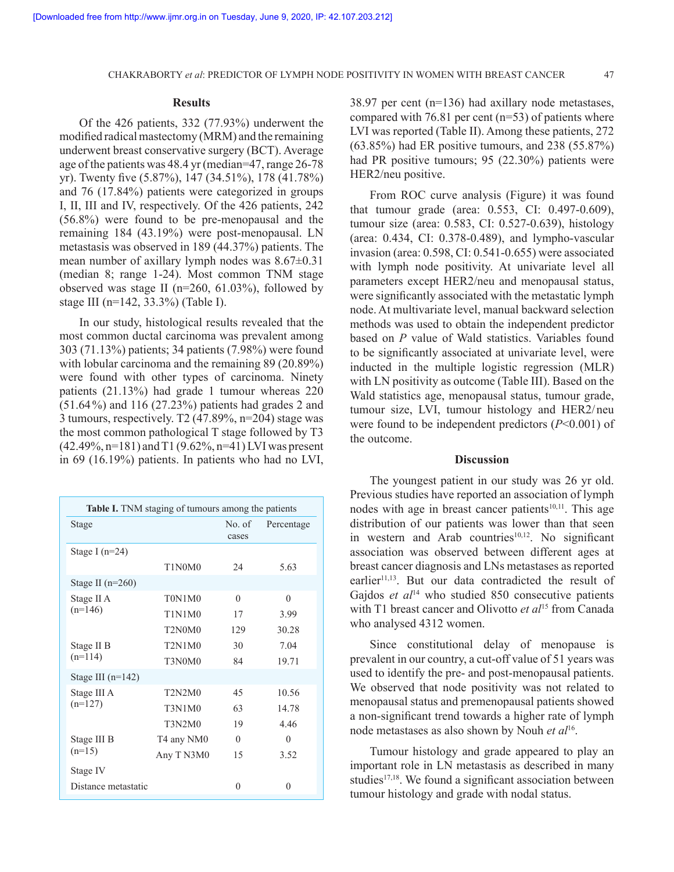## **Results**

Of the 426 patients, 332 (77.93%) underwent the modified radical mastectomy (MRM) and the remaining underwent breast conservative surgery (BCT). Average age of the patients was 48.4 yr (median=47, range 26-78 yr). Twenty five (5.87%), 147 (34.51%), 178 (41.78%) and 76 (17.84%) patients were categorized in groups I, II, III and IV, respectively. Of the 426 patients, 242 (56.8%) were found to be pre-menopausal and the remaining 184 (43.19%) were post-menopausal. LN metastasis was observed in 189 (44.37%) patients. The mean number of axillary lymph nodes was 8.67±0.31 (median 8; range 1-24). Most common TNM stage observed was stage II (n=260, 61.03%), followed by stage III (n=142, 33.3%) (Table I).

In our study, histological results revealed that the most common ductal carcinoma was prevalent among 303 (71.13%) patients; 34 patients (7.98%) were found with lobular carcinoma and the remaining 89 (20.89%) were found with other types of carcinoma. Ninety patients (21.13%) had grade 1 tumour whereas 220 (51.64%) and 116 (27.23%) patients had grades 2 and 3 tumours, respectively. T2 (47.89%, n=204) stage was the most common pathological T stage followed by T3 (42.49%, n=181) and T1 (9.62%, n=41) LVI was present in 69 (16.19%) patients. In patients who had no LVI,

|                         | Table I. TNM staging of tumours among the patients |                 |            |
|-------------------------|----------------------------------------------------|-----------------|------------|
| Stage                   |                                                    | No. of<br>cases | Percentage |
| Stage I $(n=24)$        |                                                    |                 |            |
|                         | T1N0M0                                             | 24              | 5.63       |
| Stage II $(n=260)$      |                                                    |                 |            |
| Stage II A              | T0N1M0                                             | $\Omega$        | $\theta$   |
| $(n=146)$               | T1N1M0                                             | 17              | 3.99       |
|                         | T2N0M0                                             | 129             | 30.28      |
| Stage II B<br>$(n=114)$ | <b>T2N1M0</b><br>30                                |                 | 7.04       |
|                         | T3N0M0                                             | 84              | 19.71      |
| Stage III $(n=142)$     |                                                    |                 |            |
| Stage III A             | T2N2M0                                             | 45              | 10.56      |
| $(n=127)$               | <b>T3N1M0</b>                                      | 63              | 14.78      |
|                         | T3N2M0                                             | 19              | 4.46       |
| Stage III B<br>$(n=15)$ | T4 any NM0                                         | $\Omega$        | $\theta$   |
|                         | Any T N3M0                                         | 15              | 3.52       |
| Stage IV                |                                                    |                 |            |
| Distance metastatic     |                                                    | 0               | $\Omega$   |

38.97 per cent (n=136) had axillary node metastases, compared with 76.81 per cent (n=53) of patients where LVI was reported (Table II). Among these patients, 272 (63.85%) had ER positive tumours, and 238 (55.87%) had PR positive tumours; 95 (22.30%) patients were HER2/neu positive.

From ROC curve analysis (Figure) it was found that tumour grade (area: 0.553, CI: 0.497-0.609), tumour size (area: 0.583, CI: 0.527-0.639), histology (area: 0.434, CI: 0.378-0.489), and lympho-vascular invasion (area: 0.598, CI: 0.541-0.655) were associated with lymph node positivity. At univariate level all parameters except HER2/neu and menopausal status, were significantly associated with the metastatic lymph node. At multivariate level, manual backward selection methods was used to obtain the independent predictor based on *P* value of Wald statistics. Variables found to be significantly associated at univariate level, were inducted in the multiple logistic regression (MLR) with LN positivity as outcome (Table III). Based on the Wald statistics age, menopausal status, tumour grade, tumour size, LVI, tumour histology and HER2/neu were found to be independent predictors (*P*<0.001) of the outcome.

## **Discussion**

The youngest patient in our study was 26 yr old. Previous studies have reported an association of lymph nodes with age in breast cancer patients<sup>10,11</sup>. This age distribution of our patients was lower than that seen in western and Arab countries<sup>10,12</sup>. No significant association was observed between different ages at breast cancer diagnosis and LNs metastases as reported earlier<sup>11,13</sup>. But our data contradicted the result of Gajdos *et al*<sup>14</sup> who studied 850 consecutive patients with T1 breast cancer and Olivotto *et al*<sup>15</sup> from Canada who analysed 4312 women.

Since constitutional delay of menopause is prevalent in our country, a cut-off value of 51 years was used to identify the pre- and post-menopausal patients. We observed that node positivity was not related to menopausal status and premenopausal patients showed a non-significant trend towards a higher rate of lymph node metastases as also shown by Nouh *et al*16.

Tumour histology and grade appeared to play an important role in LN metastasis as described in many studies<sup>17,18</sup>. We found a significant association between tumour histology and grade with nodal status.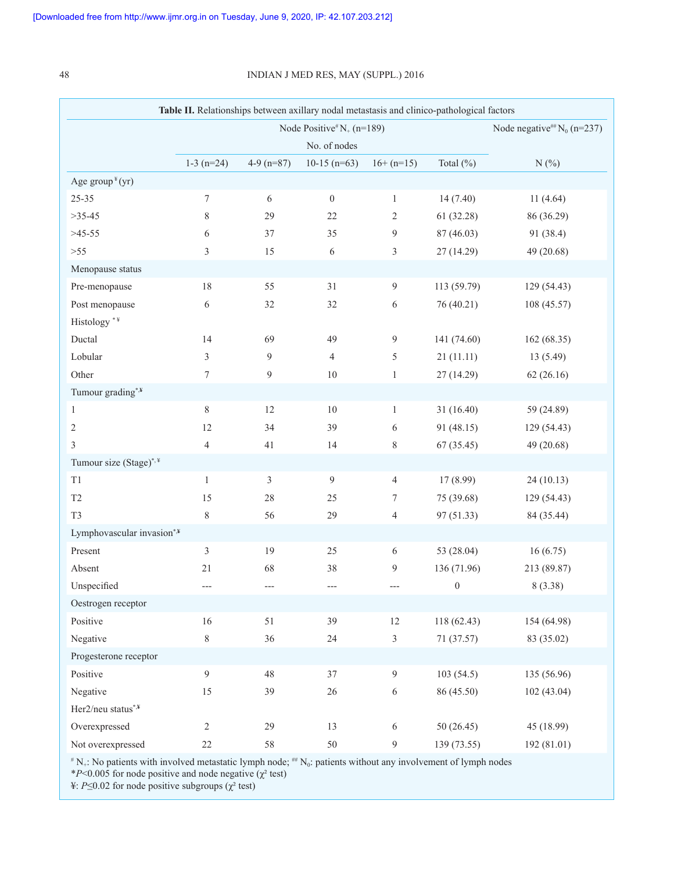|    | ٠           |  |
|----|-------------|--|
| ۰. | ٦<br>×<br>٦ |  |

## 48 INDIAN J MED RES, MAY (SUPPL.) 2016

|                            |                                            |                  | Table II. Relationships between axillary nodal metastasis and clinico-pathological factors |                |                  |             |
|----------------------------|--------------------------------------------|------------------|--------------------------------------------------------------------------------------------|----------------|------------------|-------------|
|                            | Node Positive <sup>#</sup> $N_{+}$ (n=189) |                  |                                                                                            |                |                  |             |
| No. of nodes               |                                            |                  |                                                                                            |                |                  |             |
|                            | $1-3$ (n=24)                               | 4-9 $(n=87)$     | $10-15$ (n=63)                                                                             | $16+ (n=15)$   | Total (%)        | N(%)        |
| Age group $*(yr)$          |                                            |                  |                                                                                            |                |                  |             |
| 25-35                      | 7                                          | $\sqrt{6}$       | $\boldsymbol{0}$                                                                           | $\mathbf{1}$   | 14(7.40)         | 11(4.64)    |
| $>35-45$                   | $8\,$                                      | 29               | 22                                                                                         | 2              | 61 (32.28)       | 86 (36.29)  |
| $>45-55$                   | 6                                          | 37               | 35                                                                                         | 9              | 87 (46.03)       | 91 (38.4)   |
| $>55$                      | 3                                          | 15               | 6                                                                                          | 3              | 27 (14.29)       | 49 (20.68)  |
| Menopause status           |                                            |                  |                                                                                            |                |                  |             |
| Pre-menopause              | 18                                         | 55               | 31                                                                                         | $\overline{9}$ | 113 (59.79)      | 129 (54.43) |
| Post menopause             | 6                                          | 32               | 32                                                                                         | 6              | 76 (40.21)       | 108 (45.57) |
| Histology <sup>*¥</sup>    |                                            |                  |                                                                                            |                |                  |             |
| Ductal                     | 14                                         | 69               | 49                                                                                         | 9              | 141 (74.60)      | 162(68.35)  |
| Lobular                    | 3                                          | 9                | 4                                                                                          | 5              | 21(11.11)        | 13 (5.49)   |
| Other                      | 7                                          | $\boldsymbol{9}$ | 10                                                                                         | $\mathbf{1}$   | 27 (14.29)       | 62(26.16)   |
| Tumour grading*,¥          |                                            |                  |                                                                                            |                |                  |             |
| $\mathbf{1}$               | $8\,$                                      | 12               | 10                                                                                         | $\mathbf{1}$   | 31 (16.40)       | 59 (24.89)  |
| 2                          | $12\,$                                     | 34               | 39                                                                                         | $\sqrt{6}$     | 91 (48.15)       | 129 (54.43) |
| 3                          | $\overline{4}$                             | 41               | 14                                                                                         | $8\,$          | 67(35.45)        | 49 (20.68)  |
| Tumour size (Stage)*,¥     |                                            |                  |                                                                                            |                |                  |             |
| $\mathop{\rm T}\nolimits1$ | $\,1$                                      | $\mathfrak{Z}$   | $\overline{9}$                                                                             | $\overline{4}$ | 17 (8.99)        | 24 (10.13)  |
| T <sub>2</sub>             | 15                                         | $28\,$           | 25                                                                                         | 7              | 75 (39.68)       | 129 (54.43) |
| T <sub>3</sub>             | $8\,$                                      | 56               | 29                                                                                         | 4              | 97 (51.33)       | 84 (35.44)  |
| Lymphovascular invasion*,¥ |                                            |                  |                                                                                            |                |                  |             |
| Present                    | $\mathfrak{Z}$                             | 19               | 25                                                                                         | 6              | 53 (28.04)       | 16(6.75)    |
| Absent                     | 21                                         | 68               | 38                                                                                         | 9              | 136 (71.96)      | 213 (89.87) |
| Unspecified                | ---                                        | ---              | $---$                                                                                      | ---            | $\boldsymbol{0}$ | 8(3.38)     |
| Oestrogen receptor         |                                            |                  |                                                                                            |                |                  |             |
| Positive                   | 16                                         | 51               | 39                                                                                         | 12             | 118 (62.43)      | 154 (64.98) |
| Negative                   | 8                                          | 36               | 24                                                                                         | 3              | 71 (37.57)       | 83 (35.02)  |
| Progesterone receptor      |                                            |                  |                                                                                            |                |                  |             |
| Positive                   | $\mathfrak{g}$                             | 48               | 37                                                                                         | 9              | 103(54.5)        | 135 (56.96) |
| Negative                   | 15                                         | 39               | 26                                                                                         | $\sqrt{6}$     | 86 (45.50)       | 102(43.04)  |
| Her2/neu status*,¥         |                                            |                  |                                                                                            |                |                  |             |
| Overexpressed              | $\overline{2}$                             | 29               | 13                                                                                         | $\sqrt{6}$     | 50(26.45)        | 45 (18.99)  |
| Not overexpressed          | $22\,$                                     | 58               | $50\,$                                                                                     | $\overline{9}$ | 139 (73.55)      | 192 (81.01) |
|                            |                                            |                  |                                                                                            |                |                  |             |

# N+: No patients with involved metastatic lymph node; ## N0: patients without any involvement of lymph nodes

\**P*<0.005 for node positive and node negative  $(\chi^2 \text{ test})$ 

¥: *P*≤0.02 for node positive subgroups (χ² test)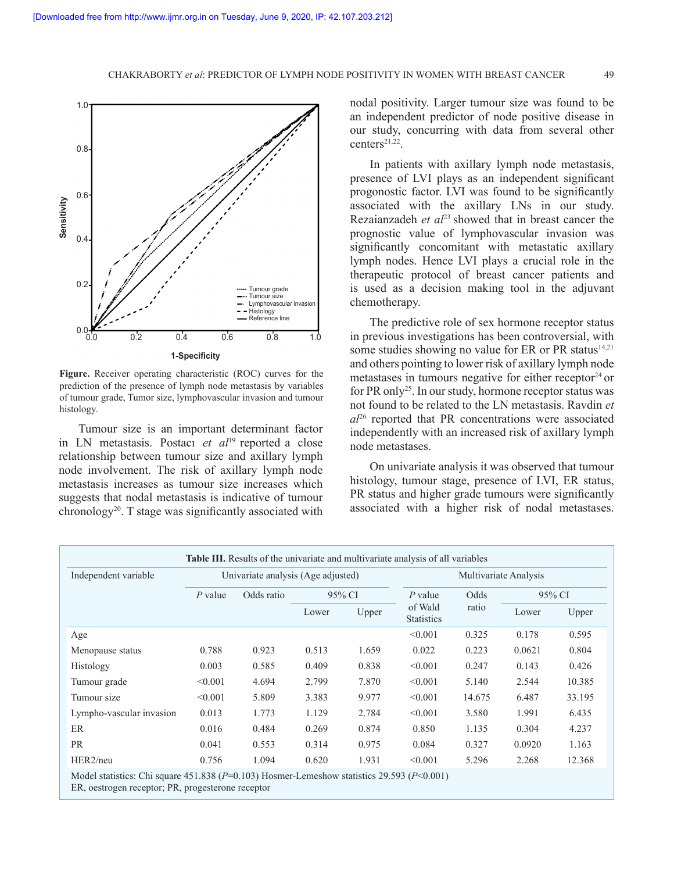

**Figure.** Receiver operating characteristic (ROC) curves for the prediction of the presence of lymph node metastasis by variables of tumour grade, Tumor size, lymphovascular invasion and tumour histology.

Tumour size is an important determinant factor in LN metastasis. Postacı *et al*19 reported a close relationship between tumour size and axillary lymph node involvement. The risk of axillary lymph node metastasis increases as tumour size increases which suggests that nodal metastasis is indicative of tumour chronology<sup>20</sup>. T stage was significantly associated with nodal positivity. Larger tumour size was found to be an independent predictor of node positive disease in our study, concurring with data from several other centers<sup>21,22</sup>.

In patients with axillary lymph node metastasis, presence of LVI plays as an independent significant progonostic factor. LVI was found to be significantly associated with the axillary LNs in our study. Rezaianzadeh *et al*23 showed that in breast cancer the prognostic value of lymphovascular invasion was significantly concomitant with metastatic axillary lymph nodes. Hence LVI plays a crucial role in the therapeutic protocol of breast cancer patients and is used as a decision making tool in the adjuvant chemotherapy.

The predictive role of sex hormone receptor status in previous investigations has been controversial, with some studies showing no value for ER or PR status $14,21$ and others pointing to lower risk of axillary lymph node metastases in tumours negative for either receptor $24$  or for PR only<sup>25</sup>. In our study, hormone receptor status was not found to be related to the LN metastasis. Ravdin *et al*26 reported that PR concentrations were associated independently with an increased risk of axillary lymph node metastases.

On univariate analysis it was observed that tumour histology, tumour stage, presence of LVI, ER status, PR status and higher grade tumours were significantly associated with a higher risk of nodal metastases.

| Independent variable     | Univariate analysis (Age adjusted) |            |       |        | Multivariate Analysis                     |               |        |        |
|--------------------------|------------------------------------|------------|-------|--------|-------------------------------------------|---------------|--------|--------|
|                          | $P$ value                          | Odds ratio |       | 95% CI | $P$ value<br>of Wald<br><b>Statistics</b> | Odds<br>ratio | 95% CI |        |
|                          |                                    |            | Lower | Upper  |                                           |               | Lower  | Upper  |
| Age                      |                                    |            |       |        | < 0.001                                   | 0.325         | 0.178  | 0.595  |
| Menopause status         | 0.788                              | 0.923      | 0.513 | 1.659  | 0.022                                     | 0.223         | 0.0621 | 0.804  |
| <b>Histology</b>         | 0.003                              | 0.585      | 0.409 | 0.838  | < 0.001                                   | 0.247         | 0.143  | 0.426  |
| Tumour grade             | < 0.001                            | 4.694      | 2.799 | 7.870  | < 0.001                                   | 5.140         | 2.544  | 10.385 |
| Tumour size              | < 0.001                            | 5.809      | 3.383 | 9.977  | < 0.001                                   | 14.675        | 6.487  | 33.195 |
| Lympho-vascular invasion | 0.013                              | 1.773      | 1.129 | 2.784  | < 0.001                                   | 3.580         | 1.991  | 6.435  |
| ER                       | 0.016                              | 0.484      | 0.269 | 0.874  | 0.850                                     | 1.135         | 0.304  | 4.237  |
| <b>PR</b>                | 0.041                              | 0.553      | 0.314 | 0.975  | 0.084                                     | 0.327         | 0.0920 | 1.163  |
| HER2/neu                 | 0.756                              | 1.094      | 0.620 | 1.931  | < 0.001                                   | 5.296         | 2.268  | 12.368 |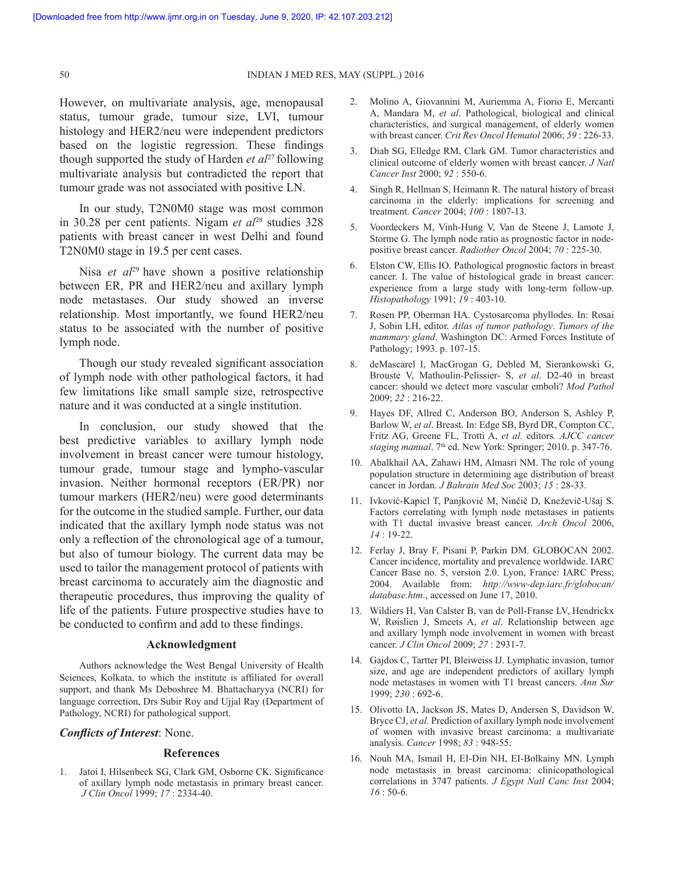However, on multivariate analysis, age, menopausal status, tumour grade, tumour size, LVI, tumour histology and HER2/neu were independent predictors based on the logistic regression. These findings though supported the study of Harden *et al*<sup>27</sup> following multivariate analysis but contradicted the report that tumour grade was not associated with positive LN.

In our study, T2N0M0 stage was most common in 30.28 per cent patients. Nigam *et al*<sup>28</sup> studies 328 patients with breast cancer in west Delhi and found T2N0M0 stage in 19.5 per cent cases.

Nisa *et al*<sup>29</sup> have shown a positive relationship between ER, PR and HER2/neu and axillary lymph node metastases. Our study showed an inverse relationship. Most importantly, we found HER2/neu status to be associated with the number of positive lymph node.

Though our study revealed significant association of lymph node with other pathological factors, it had few limitations like small sample size, retrospective nature and it was conducted at a single institution.

In conclusion, our study showed that the best predictive variables to axillary lymph node involvement in breast cancer were tumour histology, tumour grade, tumour stage and lympho-vascular invasion. Neither hormonal receptors (ER/PR) nor tumour markers (HER2/neu) were good determinants for the outcome in the studied sample. Further, our data indicated that the axillary lymph node status was not only a reflection of the chronological age of a tumour, but also of tumour biology. The current data may be used to tailor the management protocol of patients with breast carcinoma to accurately aim the diagnostic and therapeutic procedures, thus improving the quality of life of the patients. Future prospective studies have to be conducted to confirm and add to these findings.

### **Acknowledgment**

Authors acknowledge the West Bengal University of Health Sciences, Kolkata, to which the institute is affiliated for overall support, and thank Ms Deboshree M. Bhattacharyya (NCRI) for language correction, Drs Subir Roy and Ujjal Ray (Department of Pathology, NCRI) for pathological support.

## *Conflicts of Interest*: None.

### **References**

1. Jatoi I, Hilsenbeck SG, Clark GM, Osborne CK. Significance of axillary lymph node metastasis in primary breast cancer. *J Clin Oncol* 1999; *17* : 2334-40.

- 2. Molino A, Giovannini M, Auriemma A, Fiorio E, Mercanti A, Mandara M, *et al*. Pathological, biological and clinical characteristics, and surgical management, of elderly women with breast cancer. *Crit Rev Oncol Hematol* 2006; *59* : 226-33.
- 3. Diab SG, Elledge RM, Clark GM. Tumor characteristics and clinical outcome of elderly women with breast cancer. *J Natl Cancer Inst* 2000; *92* : 550-6.
- 4. Singh R, Hellman S, Heimann R. The natural history of breast carcinoma in the elderly: implications for screening and treatment. *Cancer* 2004; *100* : 1807-13.
- 5. Voordeckers M, Vinh-Hung V, Van de Steene J, Lamote J, Storme G. The lymph node ratio as prognostic factor in nodepositive breast cancer. *Radiother Oncol* 2004; *70* : 225-30.
- 6. Elston CW, Ellis IO. Pathological prognostic factors in breast cancer. I. The value of histological grade in breast cancer: experience from a large study with long-term follow-up. *Histopathology* 1991; *19* : 403-10.
- 7. Rosen PP, Oberman HA. Cystosarcoma phyllodes. In: Rosai J, Sobin LH, editor. *Atlas of tumor pathology*. *Tumors of the mammary gland*. Washington DC: Armed Forces Institute of Pathology; 1993. p. 107-15.
- 8. deMascarel I, MacGrogan G, Debled M, Sierankowski G, Brouste V, Mathoulin-Pelissier- S, *et al*. D2-40 in breast cancer: should we detect more vascular emboli? *Mod Pathol* 2009; *22* : 216-22.
- 9. Hayes DF, Allred C, Anderson BO, Anderson S, Ashley P, Barlow W, *et al*. Breast. In: Edge SB, Byrd DR, Compton CC, Fritz AG, Greene FL, Trotti A, *et al.* editors*. AJCC cancer staging manual*. 7th ed. New York: Springer; 2010. p. 347-76.
- 10. Abalkhail AA, Zahawi HM, Almasri NM. The role of young population structure in determining age distribution of breast cancer in Jordan. *J Bahrain Med Soc* 2003; *15* : 28-33.
- 11. Ivković-Kapicl T, Panjković M, Ninčič D, Kneževič-Ušaj S. Factors correlating with lymph node metastases in patients with T1 ductal invasive breast cancer. *Arch Oncol* 2006, *14* : 19-22.
- 12. Ferlay J, Bray F, Pisani P, Parkin DM. GLOBOCAN 2002. Cancer incidence, mortality and prevalence worldwide. IARC Cancer Base no. 5, version 2.0. Lyon, France: IARC Press; 2004. Available from: *http://www-dep.iarc.fr/globocan/ database.htm*., accessed on June 17, 2010.
- 13. Wildiers H, Van Calster B, van de Poll-Franse LV, Hendrickx W, Røislien J, Smeets A, *et al*. Relationship between age and axillary lymph node involvement in women with breast cancer. *J Clin Oncol* 2009; *27* : 2931-7.
- 14. Gajdos C, Tartter PI, Bleiweiss IJ. Lymphatic invasion, tumor size, and age are independent predictors of axillary lymph node metastases in women with T1 breast cancers. *Ann Sur* 1999; *230* : 692-6.
- 15. Olivotto IA, Jackson JS, Mates D, Andersen S, Davidson W, Bryce CJ, *et al.* Prediction of axillary lymph node involvement of women with invasive breast carcinoma: a multivariate analysis. *Cancer* 1998; *83* : 948-55.
- 16. Nouh MA, Ismail H, EI-Din NH, EI-Bolkainy MN. Lymph node metastasis in breast carcinoma: clinicopathological correlations in 3747 patients. *J Egypt Natl Canc Inst* 2004; *16* : 50-6.